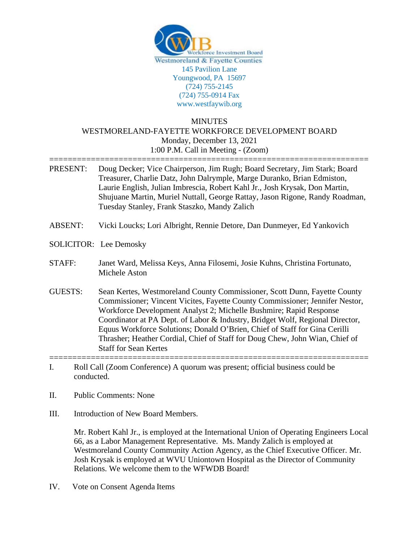

## MINUTES WESTMORELAND-FAYETTE WORKFORCE DEVELOPMENT BOARD Monday, December 13, 2021 1:00 P.M. Call in Meeting - (Zoom)

- ===================================================================== PRESENT: Doug Decker; Vice Chairperson, Jim Rugh; Board Secretary, Jim Stark; Board Treasurer, Charlie Datz, John Dalrymple, Marge Duranko, Brian Edmiston, Laurie English, Julian Imbrescia, Robert Kahl Jr., Josh Krysak, Don Martin, Shujuane Martin, Muriel Nuttall, George Rattay, Jason Rigone, Randy Roadman, Tuesday Stanley, Frank Staszko, Mandy Zalich
- ABSENT: Vicki Loucks; Lori Albright, Rennie Detore, Dan Dunmeyer, Ed Yankovich
- SOLICITOR: Lee Demosky

## STAFF: Janet Ward, Melissa Keys, Anna Filosemi, Josie Kuhns, Christina Fortunato, Michele Aston

- GUESTS: Sean Kertes, Westmoreland County Commissioner, Scott Dunn, Fayette County Commissioner; Vincent Vicites, Fayette County Commissioner; Jennifer Nestor, Workforce Development Analyst 2; Michelle Bushmire; Rapid Response Coordinator at PA Dept. of Labor & Industry, Bridget Wolf, Regional Director, Equus Workforce Solutions; Donald O'Brien, Chief of Staff for Gina Cerilli Thrasher; Heather Cordial, Chief of Staff for Doug Chew, John Wian, Chief of Staff for Sean Kertes
- ===================================================================== I. Roll Call (Zoom Conference) A quorum was present; official business could be conducted.
- II. Public Comments: None
- III. Introduction of New Board Members.

Mr. Robert Kahl Jr., is employed at the International Union of Operating Engineers Local 66, as a Labor Management Representative. Ms. Mandy Zalich is employed at Westmoreland County Community Action Agency, as the Chief Executive Officer. Mr. Josh Krysak is employed at WVU Uniontown Hospital as the Director of Community Relations. We welcome them to the WFWDB Board!

IV. Vote on Consent Agenda Items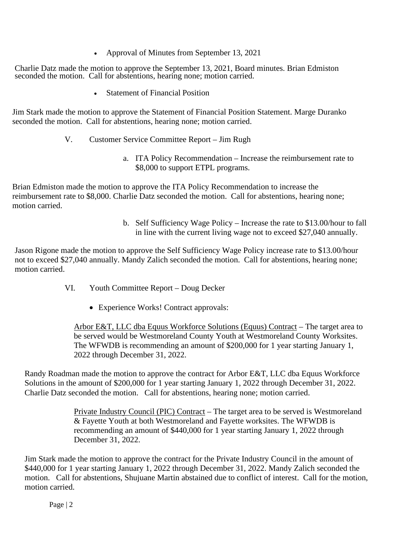• Approval of Minutes from September 13, 2021

Charlie Datz made the motion to approve the September 13, 2021, Board minutes. Brian Edmiston seconded the motion. Call for abstentions, hearing none; motion carried.

• Statement of Financial Position

Jim Stark made the motion to approve the Statement of Financial Position Statement. Marge Duranko seconded the motion. Call for abstentions, hearing none; motion carried.

- V. Customer Service Committee Report Jim Rugh
	- a. ITA Policy Recommendation Increase the reimbursement rate to \$8,000 to support ETPL programs.

Brian Edmiston made the motion to approve the ITA Policy Recommendation to increase the reimbursement rate to \$8,000. Charlie Datz seconded the motion. Call for abstentions, hearing none; motion carried.

> b. Self Sufficiency Wage Policy – Increase the rate to \$13.00/hour to fall in line with the current living wage not to exceed \$27,040 annually.

Jason Rigone made the motion to approve the Self Sufficiency Wage Policy increase rate to \$13.00/hour not to exceed \$27,040 annually. Mandy Zalich seconded the motion. Call for abstentions, hearing none; motion carried.

- VI. Youth Committee Report Doug Decker
	- Experience Works! Contract approvals:

Arbor E&T, LLC dba Equus Workforce Solutions (Equus) Contract – The target area to be served would be Westmoreland County Youth at Westmoreland County Worksites. The WFWDB is recommending an amount of \$200,000 for 1 year starting January 1, 2022 through December 31, 2022.

Randy Roadman made the motion to approve the contract for Arbor E&T, LLC dba Equus Workforce Solutions in the amount of \$200,000 for 1 year starting January 1, 2022 through December 31, 2022. Charlie Datz seconded the motion. Call for abstentions, hearing none; motion carried.

> Private Industry Council (PIC) Contract – The target area to be served is Westmoreland & Fayette Youth at both Westmoreland and Fayette worksites. The WFWDB is recommending an amount of \$440,000 for 1 year starting January 1, 2022 through December 31, 2022.

Jim Stark made the motion to approve the contract for the Private Industry Council in the amount of \$440,000 for 1 year starting January 1, 2022 through December 31, 2022. Mandy Zalich seconded the motion. Call for abstentions, Shujuane Martin abstained due to conflict of interest. Call for the motion, motion carried.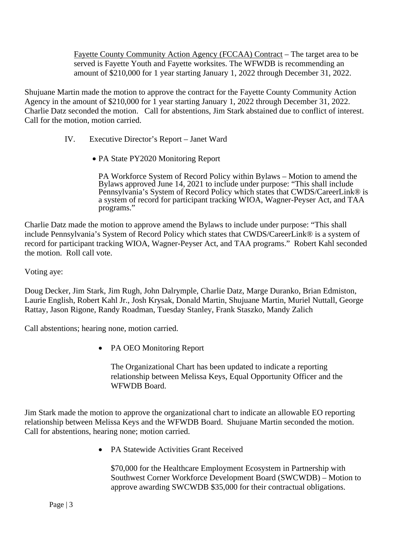Fayette County Community Action Agency (FCCAA) Contract – The target area to be served is Fayette Youth and Fayette worksites. The WFWDB is recommending an amount of \$210,000 for 1 year starting January 1, 2022 through December 31, 2022.

Shujuane Martin made the motion to approve the contract for the Fayette County Community Action Agency in the amount of \$210,000 for 1 year starting January 1, 2022 through December 31, 2022. Charlie Datz seconded the motion. Call for abstentions, Jim Stark abstained due to conflict of interest. Call for the motion, motion carried.

- IV. Executive Director's Report Janet Ward
	- PA State PY2020 Monitoring Report

PA Workforce System of Record Policy within Bylaws – Motion to amend the Bylaws approved June 14, 2021 to include under purpose: "This shall include Pennsylvania's System of Record Policy which states that CWDS/CareerLink® is a system of record for participant tracking WIOA, Wagner-Peyser Act, and TAA programs."

Charlie Datz made the motion to approve amend the Bylaws to include under purpose: "This shall include Pennsylvania's System of Record Policy which states that CWDS/CareerLink® is a system of record for participant tracking WIOA, Wagner-Peyser Act, and TAA programs." Robert Kahl seconded the motion. Roll call vote.

Voting aye:

Doug Decker, Jim Stark, Jim Rugh, John Dalrymple, Charlie Datz, Marge Duranko, Brian Edmiston, Laurie English, Robert Kahl Jr., Josh Krysak, Donald Martin, Shujuane Martin, Muriel Nuttall, George Rattay, Jason Rigone, Randy Roadman, Tuesday Stanley, Frank Staszko, Mandy Zalich

Call abstentions; hearing none, motion carried.

• PA OEO Monitoring Report

The Organizational Chart has been updated to indicate a reporting relationship between Melissa Keys, Equal Opportunity Officer and the WFWDB Board.

Jim Stark made the motion to approve the organizational chart to indicate an allowable EO reporting relationship between Melissa Keys and the WFWDB Board. Shujuane Martin seconded the motion. Call for abstentions, hearing none; motion carried.

• PA Statewide Activities Grant Received

\$70,000 for the Healthcare Employment Ecosystem in Partnership with Southwest Corner Workforce Development Board (SWCWDB) – Motion to approve awarding SWCWDB \$35,000 for their contractual obligations.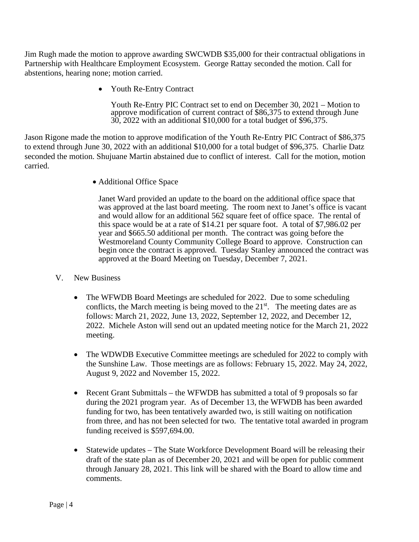Jim Rugh made the motion to approve awarding SWCWDB \$35,000 for their contractual obligations in Partnership with Healthcare Employment Ecosystem. George Rattay seconded the motion. Call for abstentions, hearing none; motion carried.

• Youth Re-Entry Contract

Youth Re-Entry PIC Contract set to end on December 30, 2021 – Motion to approve modification of current contract of \$86,375 to extend through June 30, 2022 with an additional \$10,000 for a total budget of \$96,375.

Jason Rigone made the motion to approve modification of the Youth Re-Entry PIC Contract of \$86,375 to extend through June 30, 2022 with an additional \$10,000 for a total budget of \$96,375. Charlie Datz seconded the motion. Shujuane Martin abstained due to conflict of interest. Call for the motion, motion carried.

• Additional Office Space

Janet Ward provided an update to the board on the additional office space that was approved at the last board meeting. The room next to Janet's office is vacant and would allow for an additional 562 square feet of office space. The rental of this space would be at a rate of \$14.21 per square foot. A total of \$7,986.02 per year and \$665.50 additional per month. The contract was going before the Westmoreland County Community College Board to approve. Construction can begin once the contract is approved. Tuesday Stanley announced the contract was approved at the Board Meeting on Tuesday, December 7, 2021.

- V. New Business
	- The WFWDB Board Meetings are scheduled for 2022. Due to some scheduling conflicts, the March meeting is being moved to the  $21<sup>st</sup>$ . The meeting dates are as follows: March 21, 2022, June 13, 2022, September 12, 2022, and December 12, 2022. Michele Aston will send out an updated meeting notice for the March 21, 2022 meeting.
	- The WDWDB Executive Committee meetings are scheduled for 2022 to comply with the Sunshine Law. Those meetings are as follows: February 15, 2022. May 24, 2022, August 9, 2022 and November 15, 2022.
	- Recent Grant Submittals the WFWDB has submitted a total of 9 proposals so far during the 2021 program year. As of December 13, the WFWDB has been awarded funding for two, has been tentatively awarded two, is still waiting on notification from three, and has not been selected for two. The tentative total awarded in program funding received is \$597,694.00.
	- Statewide updates The State Workforce Development Board will be releasing their draft of the state plan as of December 20, 2021 and will be open for public comment through January 28, 2021. This link will be shared with the Board to allow time and comments.